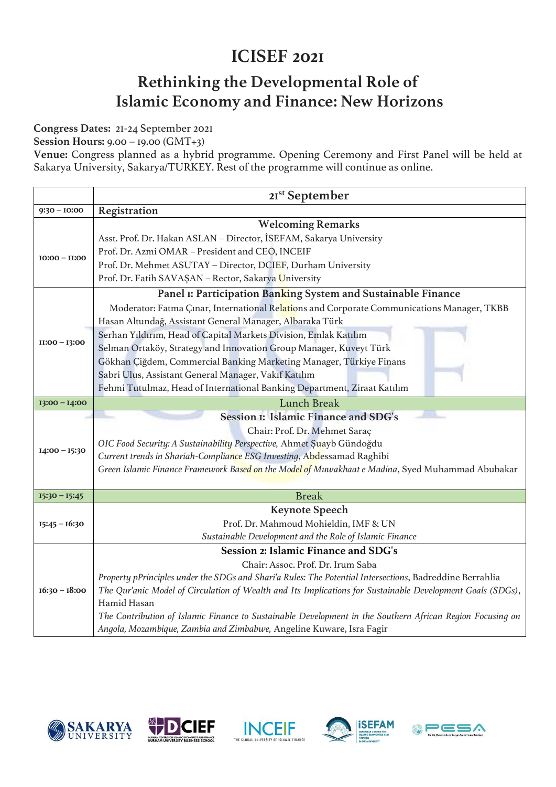## **ICISEF 2021**

## **Rethinking the Developmental Role of Islamic Economy and Finance: New Horizons**

**Congress Dates:** 21-24 September 2021

**Session Hours:** 9.00 – 19.00 (GMT+3)

**Venue:** Congress planned as a hybrid programme. Opening Ceremony and First Panel will be held at Sakarya University, Sakarya/TURKEY. Rest of the programme will continue as online.

|                 | 21 <sup>st</sup> September                                                                                 |
|-----------------|------------------------------------------------------------------------------------------------------------|
| $9:30 - 10:00$  | Registration                                                                                               |
|                 | <b>Welcoming Remarks</b>                                                                                   |
| $10:00 - 11:00$ | Asst. Prof. Dr. Hakan ASLAN - Director, İSEFAM, Sakarya University                                         |
|                 | Prof. Dr. Azmi OMAR - President and CEO, INCEIF                                                            |
|                 | Prof. Dr. Mehmet ASUTAY - Director, DCIEF, Durham University                                               |
|                 | Prof. Dr. Fatih SAVAŞAN - Rector, Sakarya University                                                       |
|                 | Panel I: Participation Banking System and Sustainable Finance                                              |
| $II:00 - I3:00$ | Moderator: Fatma Çınar, International Relations and Corporate Communications Manager, TKBB                 |
|                 | Hasan Altundağ, Assistant General Manager, Albaraka Türk                                                   |
|                 | Serhan Yıldırım, Head of Capital Markets Division, Emlak Katılım                                           |
|                 | Selman Ortaköy, Strategy and Innovation Group Manager, Kuveyt Türk                                         |
|                 | Gökhan Çiğdem, Commercial Banking Marketing Manager, Türkiye Finans                                        |
|                 | Sabri Ulus, Assistant General Manager, Vakıf Katılım                                                       |
|                 | Fehmi Tutulmaz, Head of International Banking Department, Ziraat Katılım                                   |
| $13:00 - 14:00$ | <b>Lunch Break</b>                                                                                         |
|                 | Session I: Islamic Finance and SDG's                                                                       |
|                 | Chair: Prof. Dr. Mehmet Saraç                                                                              |
| $I4:00 - I5:30$ | OIC Food Security: A Sustainability Perspective, Ahmet Şuayb Gündoğdu                                      |
|                 | Current trends in Shariah-Compliance ESG Investing, Abdessamad Raghibi                                     |
|                 | Green Islamic Finance Framework Based on the Model of Muwakhaat e Madina, Syed Muhammad Abubakar           |
|                 |                                                                                                            |
| $15:30 - 15:45$ | <b>Break</b>                                                                                               |
|                 | <b>Keynote Speech</b>                                                                                      |
| $15:45 - 16:30$ | Prof. Dr. Mahmoud Mohieldin, IMF & UN                                                                      |
|                 | Sustainable Development and the Role of Islamic Finance                                                    |
|                 | Session 2: Islamic Finance and SDG's                                                                       |
|                 | Chair: Assoc. Prof. Dr. Irum Saba                                                                          |
|                 | Property pPrinciples under the SDGs and Shari'a Rules: The Potential Intersections, Badreddine Berrahlia   |
| $16:30 - 18:00$ | The Qur'anic Model of Circulation of Wealth and Its Implications for Sustainable Development Goals (SDGs), |
|                 | Hamid Hasan                                                                                                |
|                 | The Contribution of Islamic Finance to Sustainable Development in the Southern African Region Focusing on  |
|                 | Angola, Mozambique, Zambia and Zimbabwe, Angeline Kuware, Isra Fagir                                       |









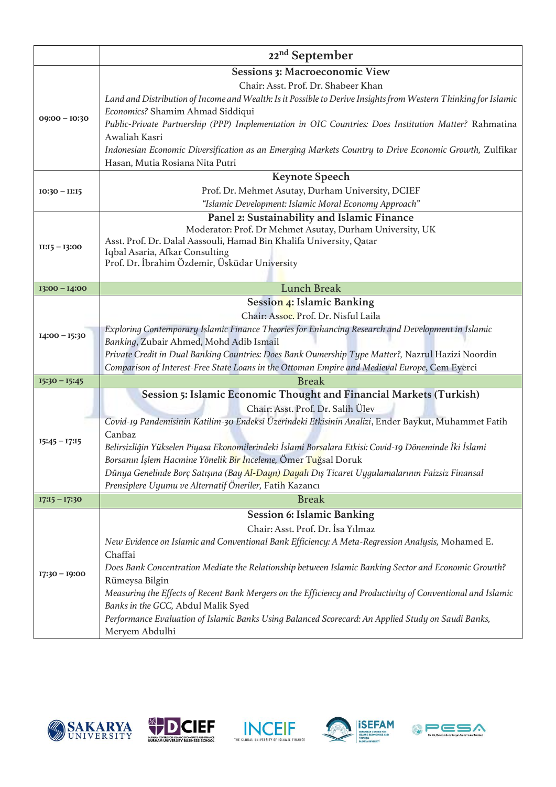|                                    | 22 <sup>nd</sup> September                                                                                                                                                                                                                                                                                                                                                                                                                                                                                                                                                                                                                      |
|------------------------------------|-------------------------------------------------------------------------------------------------------------------------------------------------------------------------------------------------------------------------------------------------------------------------------------------------------------------------------------------------------------------------------------------------------------------------------------------------------------------------------------------------------------------------------------------------------------------------------------------------------------------------------------------------|
| $09:00 - 10:30$<br>$IO:30 - II:15$ | <b>Sessions 3: Macroeconomic View</b><br>Chair: Asst. Prof. Dr. Shabeer Khan<br>Land and Distribution of Income and Wealth: Is it Possible to Derive Insights from Western Thinking for Islamic<br>Economics? Shamim Ahmad Siddiqui<br>Public-Private Partnership (PPP) Implementation in OIC Countries: Does Institution Matter? Rahmatina<br>Awaliah Kasri<br>Indonesian Economic Diversification as an Emerging Markets Country to Drive Economic Growth, Zulfikar<br>Hasan, Mutia Rosiana Nita Putri<br><b>Keynote Speech</b><br>Prof. Dr. Mehmet Asutay, Durham University, DCIEF<br>"Islamic Development: Islamic Moral Economy Approach" |
| $II:15 - I3:00$                    | Panel 2: Sustainability and Islamic Finance<br>Moderator: Prof. Dr Mehmet Asutay, Durham University, UK<br>Asst. Prof. Dr. Dalal Aassouli, Hamad Bin Khalifa University, Qatar<br>Iqbal Asaria, Afkar Consulting<br>Prof. Dr. İbrahim Özdemir, Üsküdar University                                                                                                                                                                                                                                                                                                                                                                               |
| $I$ 3:00 - $I$ 4:00                | <b>Lunch Break</b>                                                                                                                                                                                                                                                                                                                                                                                                                                                                                                                                                                                                                              |
| $I4:00 - I5:30$                    | Session 4: Islamic Banking<br>Chair: Assoc. Prof. Dr. Nisful Laila<br>Exploring Contemporary Islamic Finance Theories for Enhancing Research and Development in Islamic<br>Banking, Zubair Ahmed, Mohd Adib Ismail<br>Private Credit in Dual Banking Countries: Does Bank Ownership Type Matter?, Nazrul Hazizi Noordin<br>Comparison of Interest-Free State Loans in the Ottoman Empire and Medieval Europe, Cem Eyerci                                                                                                                                                                                                                        |
| $I5:30 - I5:45$                    | <b>Break</b>                                                                                                                                                                                                                                                                                                                                                                                                                                                                                                                                                                                                                                    |
| $15:45 - 17:15$                    | Session 5: Islamic Economic Thought and Financial Markets (Turkish)<br>Chair: Asst. Prof. Dr. Salih Ülev<br>Covid-19 Pandemisinin Katilim-30 Endeksi Üzerindeki Etkisinin Analizi, Ender Baykut, Muhammet Fatih<br>Canbaz<br>Belirsizliğin Yükselen Piyasa Ekonomilerindeki İslami Borsalara Etkisi: Covid-19 Döneminde İki İslami<br>Borsanın İşlem Hacmine Yönelik Bir İnceleme, Ömer Tuğsal Doruk<br>Dünya Genelinde Borç Satışına (Bay Al-Dayn) Dayalı Dış Ticaret Uygulamalarının Faizsiz Finansal<br>Prensiplere Uyumu ve Alternatif Öneriler, Fatih Kazancı                                                                              |
| $17:15 - 17:30$                    | <b>Break</b>                                                                                                                                                                                                                                                                                                                                                                                                                                                                                                                                                                                                                                    |
| $17:30 - 19:00$                    | <b>Session 6: Islamic Banking</b><br>Chair: Asst. Prof. Dr. İsa Yılmaz<br>New Evidence on Islamic and Conventional Bank Efficiency: A Meta-Regression Analysis, Mohamed E.<br>Chaffai<br>Does Bank Concentration Mediate the Relationship between Islamic Banking Sector and Economic Growth?<br>Rümeysa Bilgin<br>Measuring the Effects of Recent Bank Mergers on the Efficiency and Productivity of Conventional and Islamic<br>Banks in the GCC, Abdul Malik Syed<br>Performance Evaluation of Islamic Banks Using Balanced Scorecard: An Applied Study on Saudi Banks,<br>Meryem Abdulhi                                                    |









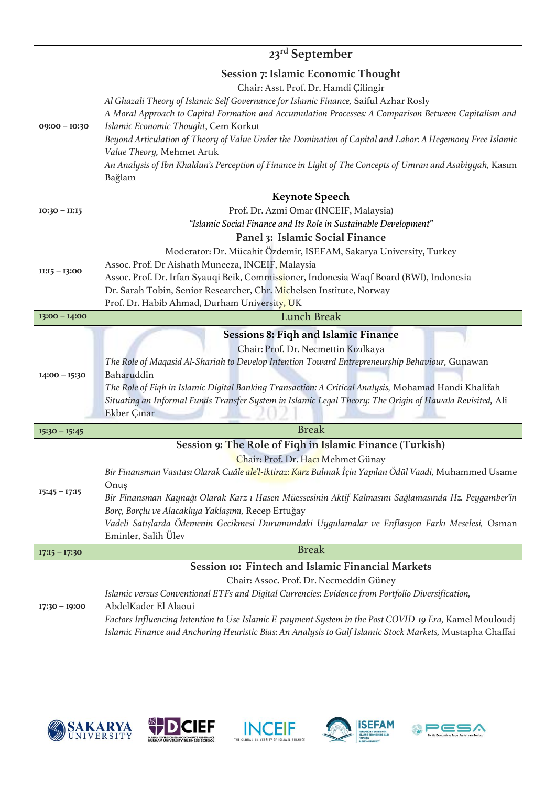|                 | 23 <sup>rd</sup> September                                                                                                                                                                                                                                                                                                                                                                                                                                                                                                                                                                     |
|-----------------|------------------------------------------------------------------------------------------------------------------------------------------------------------------------------------------------------------------------------------------------------------------------------------------------------------------------------------------------------------------------------------------------------------------------------------------------------------------------------------------------------------------------------------------------------------------------------------------------|
| $09:00 - 10:30$ | <b>Session 7: Islamic Economic Thought</b><br>Chair: Asst. Prof. Dr. Hamdi Çilingir<br>Al Ghazali Theory of Islamic Self Governance for Islamic Finance, Saiful Azhar Rosly<br>A Moral Approach to Capital Formation and Accumulation Processes: A Comparison Between Capitalism and<br>Islamic Economic Thought, Cem Korkut<br>Beyond Articulation of Theory of Value Under the Domination of Capital and Labor: A Hegemony Free Islamic<br>Value Theory, Mehmet Artık<br>An Analysis of Ibn Khaldun's Perception of Finance in Light of The Concepts of Umran and Asabiyyah, Kasım<br>Bağlam |
| $10:30 - 11:15$ | <b>Keynote Speech</b><br>Prof. Dr. Azmi Omar (INCEIF, Malaysia)<br>"Islamic Social Finance and Its Role in Sustainable Development"                                                                                                                                                                                                                                                                                                                                                                                                                                                            |
| $II:15 - I3:00$ | Panel 3: Islamic Social Finance<br>Moderator: Dr. Mücahit Özdemir, ISEFAM, Sakarya University, Turkey<br>Assoc. Prof. Dr Aishath Muneeza, INCEIF, Malaysia<br>Assoc. Prof. Dr. Irfan Syauqi Beik, Commissioner, Indonesia Waqf Board (BWI), Indonesia<br>Dr. Sarah Tobin, Senior Researcher, Chr. Michelsen Institute, Norway<br>Prof. Dr. Habib Ahmad, Durham University, UK                                                                                                                                                                                                                  |
| $13:00 - 14:00$ | <b>Lunch Break</b>                                                                                                                                                                                                                                                                                                                                                                                                                                                                                                                                                                             |
| $I4:00 - I5:30$ | <b>Sessions 8: Figh and Islamic Finance</b><br>Chair: Prof. Dr. Necmettin Kızılkaya<br>The Role of Maqasid Al-Shariah to Develop Intention Toward Entrepreneurship Behaviour, Gunawan<br>Baharuddin<br>The Role of Fiqh in Islamic Digital Banking Transaction: A Critical Analysis, Mohamad Handi Khalifah<br>Situating an Informal Funds Transfer System in Islamic Legal Theory: The Origin of Hawala Revisited, Ali<br>Ekber Çınar                                                                                                                                                         |
| $I5:30 - I5:45$ | <b>Break</b>                                                                                                                                                                                                                                                                                                                                                                                                                                                                                                                                                                                   |
| $15:45 - 17:15$ | Session 9: The Role of Fiqh in Islamic Finance (Turkish)<br>Chair: Prof. Dr. Hacı Mehmet Günay<br>Bir Finansman Vasıtası Olarak Cuâle ale'l-iktiraz: Karz Bulmak İçin Yapılan Ödül Vaadi, Muhammed Usame<br>Onuş<br>Bir Finansman Kaynağı Olarak Karz-ı Hasen Müessesinin Aktif Kalmasını Sağlamasında Hz. Peygamber'in<br>Borç, Borçlu ve Alacaklıya Yaklaşımı, Recep Ertuğay<br>Vadeli Satışlarda Ödemenin Gecikmesi Durumundaki Uygulamalar ve Enflasyon Farkı Meselesi, Osman<br>Eminler, Salih Ülev                                                                                       |
| $I7:15 - I7:30$ | <b>Break</b>                                                                                                                                                                                                                                                                                                                                                                                                                                                                                                                                                                                   |
| $17:30 - 19:00$ | Session IO: Fintech and Islamic Financial Markets<br>Chair: Assoc. Prof. Dr. Necmeddin Güney<br>Islamic versus Conventional ETFs and Digital Currencies: Evidence from Portfolio Diversification,<br>AbdelKader El Alaoui<br>Factors Influencing Intention to Use Islamic E-payment System in the Post COVID-19 Era, Kamel Mouloudj<br>Islamic Finance and Anchoring Heuristic Bias: An Analysis to Gulf Islamic Stock Markets, Mustapha Chaffai                                                                                                                                               |